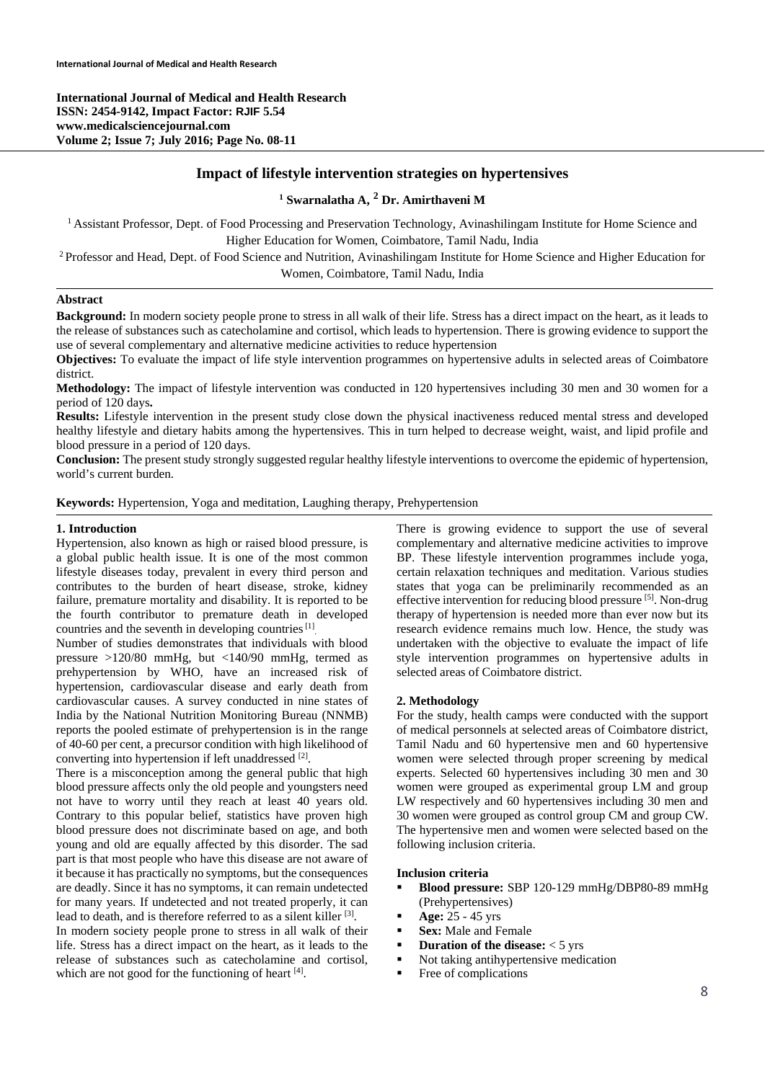**International Journal of Medical and Health Research ISSN: 2454-9142, Impact Factor: RJIF 5.54 www.medicalsciencejournal.com Volume 2; Issue 7; July 2016; Page No. 08-11** 

# **Impact of lifestyle intervention strategies on hypertensives**

# **1 Swarnalatha A, 2 Dr. Amirthaveni M**

<sup>1</sup> Assistant Professor, Dept. of Food Processing and Preservation Technology, Avinashilingam Institute for Home Science and Higher Education for Women, Coimbatore, Tamil Nadu, India<br><sup>2</sup> Professor and Head, Dept. of Food Science and Nutrition, Avinashilingam Institute for Home Science and Higher Education for

Women, Coimbatore, Tamil Nadu, India

## **Abstract**

**Background:** In modern society people prone to stress in all walk of their life. Stress has a direct impact on the heart, as it leads to the release of substances such as catecholamine and cortisol, which leads to hypertension. There is growing evidence to support the use of several complementary and alternative medicine activities to reduce hypertension

**Objectives:** To evaluate the impact of life style intervention programmes on hypertensive adults in selected areas of Coimbatore district.

**Methodology:** The impact of lifestyle intervention was conducted in 120 hypertensives including 30 men and 30 women for a period of 120 days**.** 

**Results:** Lifestyle intervention in the present study close down the physical inactiveness reduced mental stress and developed healthy lifestyle and dietary habits among the hypertensives. This in turn helped to decrease weight, waist, and lipid profile and blood pressure in a period of 120 days.

**Conclusion:** The present study strongly suggested regular healthy lifestyle interventions to overcome the epidemic of hypertension, world's current burden.

### **Keywords:** Hypertension, Yoga and meditation, Laughing therapy, Prehypertension

#### **1. Introduction**

Hypertension, also known as high or raised blood pressure, is a global public health issue. It is one of the most common lifestyle diseases today, prevalent in every third person and contributes to the burden of heart disease, stroke, kidney failure, premature mortality and disability. It is reported to be the fourth contributor to premature death in developed countries and the seventh in developing countries [1].

Number of studies demonstrates that individuals with blood pressure >120/80 mmHg, but <140/90 mmHg, termed as prehypertension by WHO, have an increased risk of hypertension, cardiovascular disease and early death from cardiovascular causes. A survey conducted in nine states of India by the National Nutrition Monitoring Bureau (NNMB) reports the pooled estimate of prehypertension is in the range of 40-60 per cent, a precursor condition with high likelihood of converting into hypertension if left unaddressed [2].

There is a misconception among the general public that high blood pressure affects only the old people and youngsters need not have to worry until they reach at least 40 years old. Contrary to this popular belief, statistics have proven high blood pressure does not discriminate based on age, and both young and old are equally affected by this disorder. The sad part is that most people who have this disease are not aware of it because it has practically no symptoms, but the consequences are deadly. Since it has no symptoms, it can remain undetected for many years. If undetected and not treated properly, it can lead to death, and is therefore referred to as a silent killer [3]. In modern society people prone to stress in all walk of their

life. Stress has a direct impact on the heart, as it leads to the release of substances such as catecholamine and cortisol, which are not good for the functioning of heart [4].

There is growing evidence to support the use of several complementary and alternative medicine activities to improve BP. These lifestyle intervention programmes include yoga, certain relaxation techniques and meditation. Various studies states that yoga can be preliminarily recommended as an effective intervention for reducing blood pressure [5]. Non-drug therapy of hypertension is needed more than ever now but its research evidence remains much low. Hence, the study was undertaken with the objective to evaluate the impact of life style intervention programmes on hypertensive adults in selected areas of Coimbatore district.

#### **2. Methodology**

For the study, health camps were conducted with the support of medical personnels at selected areas of Coimbatore district, Tamil Nadu and 60 hypertensive men and 60 hypertensive women were selected through proper screening by medical experts. Selected 60 hypertensives including 30 men and 30 women were grouped as experimental group LM and group LW respectively and 60 hypertensives including 30 men and 30 women were grouped as control group CM and group CW. The hypertensive men and women were selected based on the following inclusion criteria.

#### **Inclusion criteria**

- **Blood pressure:** SBP 120-129 mmHg/DBP80-89 mmHg (Prehypertensives)
- **Age:** 25 45 yrs
- **Sex:** Male and Female
- **•** Duration of the disease: < 5 yrs
- Not taking antihypertensive medication
- Free of complications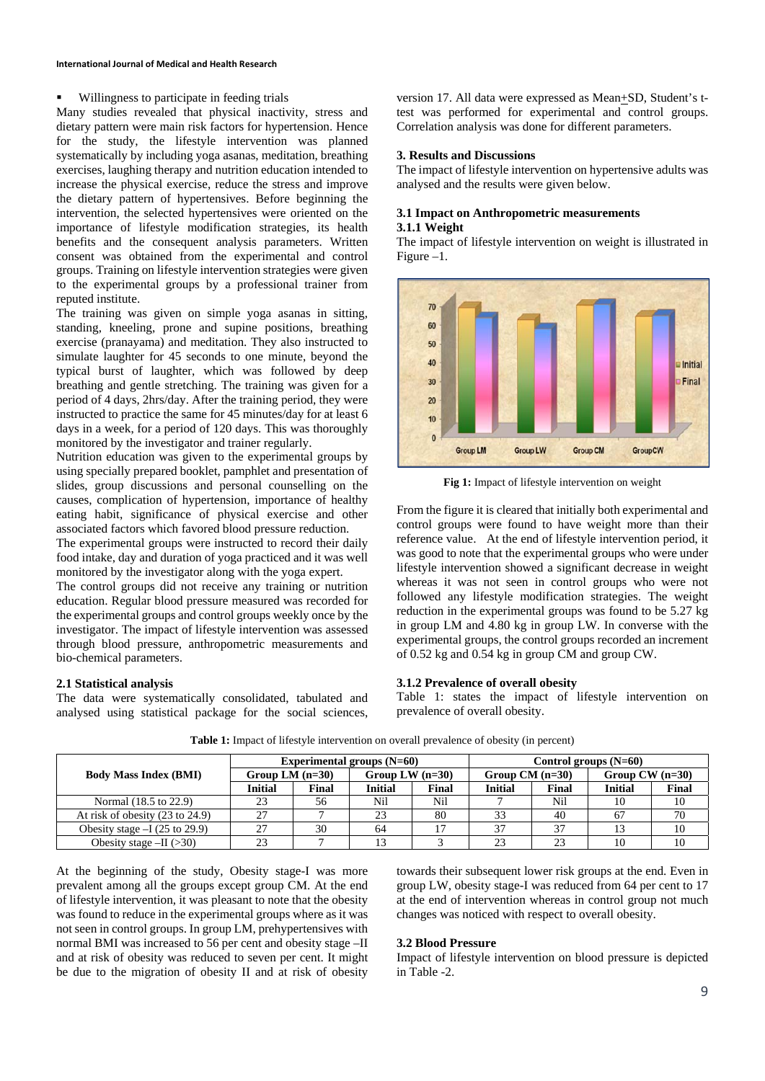### Willingness to participate in feeding trials

Many studies revealed that physical inactivity, stress and dietary pattern were main risk factors for hypertension. Hence for the study, the lifestyle intervention was planned systematically by including yoga asanas, meditation, breathing exercises, laughing therapy and nutrition education intended to increase the physical exercise, reduce the stress and improve the dietary pattern of hypertensives. Before beginning the intervention, the selected hypertensives were oriented on the importance of lifestyle modification strategies, its health benefits and the consequent analysis parameters. Written consent was obtained from the experimental and control groups. Training on lifestyle intervention strategies were given to the experimental groups by a professional trainer from reputed institute.

The training was given on simple yoga asanas in sitting, standing, kneeling, prone and supine positions, breathing exercise (pranayama) and meditation. They also instructed to simulate laughter for 45 seconds to one minute, beyond the typical burst of laughter, which was followed by deep breathing and gentle stretching. The training was given for a period of 4 days, 2hrs/day. After the training period, they were instructed to practice the same for 45 minutes/day for at least 6 days in a week, for a period of 120 days. This was thoroughly monitored by the investigator and trainer regularly.

Nutrition education was given to the experimental groups by using specially prepared booklet, pamphlet and presentation of slides, group discussions and personal counselling on the causes, complication of hypertension, importance of healthy eating habit, significance of physical exercise and other associated factors which favored blood pressure reduction.

The experimental groups were instructed to record their daily food intake, day and duration of yoga practiced and it was well monitored by the investigator along with the yoga expert.

The control groups did not receive any training or nutrition education. Regular blood pressure measured was recorded for the experimental groups and control groups weekly once by the investigator. The impact of lifestyle intervention was assessed through blood pressure, anthropometric measurements and bio-chemical parameters.

#### **2.1 Statistical analysis**

The data were systematically consolidated, tabulated and analysed using statistical package for the social sciences, version 17. All data were expressed as Mean+SD, Student's ttest was performed for experimental and control groups. Correlation analysis was done for different parameters.

### **3. Results and Discussions**

The impact of lifestyle intervention on hypertensive adults was analysed and the results were given below.

## **3.1 Impact on Anthropometric measurements 3.1.1 Weight**

The impact of lifestyle intervention on weight is illustrated in Figure –1.



**Fig 1:** Impact of lifestyle intervention on weight

From the figure it is cleared that initially both experimental and control groups were found to have weight more than their reference value. At the end of lifestyle intervention period, it was good to note that the experimental groups who were under lifestyle intervention showed a significant decrease in weight whereas it was not seen in control groups who were not followed any lifestyle modification strategies. The weight reduction in the experimental groups was found to be 5.27 kg in group LM and 4.80 kg in group LW. In converse with the experimental groups, the control groups recorded an increment of 0.52 kg and 0.54 kg in group CM and group CW.

# **3.1.2 Prevalence of overall obesity**

Table 1: states the impact of lifestyle intervention on prevalence of overall obesity.

|                                            |                   |       | Experimental groups $(N=60)$ |       | Control groups $(N=60)$ |       |                   |       |  |
|--------------------------------------------|-------------------|-------|------------------------------|-------|-------------------------|-------|-------------------|-------|--|
| <b>Body Mass Index (BMI)</b>               | Group LM $(n=30)$ |       | Group LW $(n=30)$            |       | Group $CM$ (n=30)       |       | Group $CW$ (n=30) |       |  |
|                                            | <b>Initial</b>    | Final | <b>Initial</b>               | Final | <b>Initial</b>          | Final | <b>Initial</b>    | Final |  |
| Normal (18.5 to 22.9)                      | 23                | 56    | Nil                          | Nil   |                         | Nil   | 10                | 10    |  |
| At risk of obesity $(23 \text{ to } 24.9)$ |                   |       | 23                           | 80    |                         | 40    | .67               | 70    |  |
| Obesity stage $-I$ (25 to 29.9)            | 27                | 30    | 64                           |       | 37                      | 37    |                   | 10    |  |
| Obesity stage $-II$ (>30)                  | 23                |       | 13                           |       | 23                      | 23    | 10                | 10    |  |

**Table 1:** Impact of lifestyle intervention on overall prevalence of obesity (in percent)

At the beginning of the study, Obesity stage-I was more prevalent among all the groups except group CM. At the end of lifestyle intervention, it was pleasant to note that the obesity was found to reduce in the experimental groups where as it was not seen in control groups. In group LM, prehypertensives with normal BMI was increased to 56 per cent and obesity stage –II and at risk of obesity was reduced to seven per cent. It might be due to the migration of obesity II and at risk of obesity towards their subsequent lower risk groups at the end. Even in group LW, obesity stage-I was reduced from 64 per cent to 17 at the end of intervention whereas in control group not much changes was noticed with respect to overall obesity.

#### **3.2 Blood Pressure**

Impact of lifestyle intervention on blood pressure is depicted in Table -2.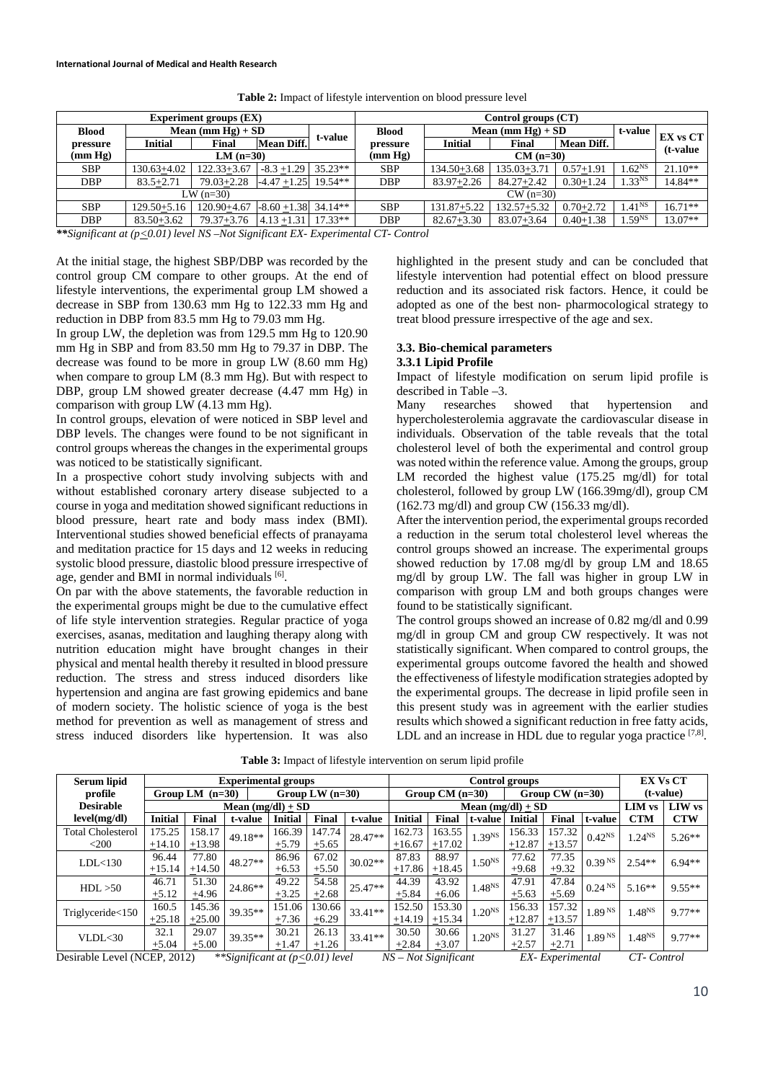| <b>Experiment groups (EX)</b>                                                                                             |                      |                   |                              | Control groups (CT) |              |                      |                 |                   |                    |           |  |  |
|---------------------------------------------------------------------------------------------------------------------------|----------------------|-------------------|------------------------------|---------------------|--------------|----------------------|-----------------|-------------------|--------------------|-----------|--|--|
| <b>Blood</b>                                                                                                              | Mean (mm $Hg$ ) + SD |                   |                              |                     | <b>Blood</b> | Mean (mm $Hg$ ) + SD | t-value         | <b>EX vs CT</b>   |                    |           |  |  |
| pressure                                                                                                                  | Initial              | Final             | t-value<br><b>Mean Diff.</b> |                     | pressure     | <b>Initial</b>       | Final           | <b>Mean Diff.</b> |                    | (t-value  |  |  |
| $(\mathbf{mm} \ \mathbf{Hg})$<br>$LM$ (n=30)                                                                              |                      |                   |                              |                     | (mm Hg)      | $CM$ (n=30)          |                 |                   |                    |           |  |  |
| <b>SBP</b>                                                                                                                | $130.63 + 4.02$      | $122.33 + 3.67$   | $-8.3 + 1.29$                | $35.23**$           | <b>SBP</b>   | $134.50 + 3.68$      | $135.03 + 3.71$ | $0.57 + 1.91$     | 1.62 <sup>NS</sup> | $21.10**$ |  |  |
| <b>DBP</b>                                                                                                                | $83.5 + 2.71$        | $79.03 + 2.28$    | $-4.47 + 1.25$               | $19.54**$           | <b>DBP</b>   | $83.97 + 2.26$       | $84.27 + 2.42$  | $0.30 + 1.24$     | 1.33 <sup>NS</sup> | 14.84**   |  |  |
| LW $(n=30)$                                                                                                               |                      |                   |                              |                     |              |                      | $CW$ (n=30)     |                   |                    |           |  |  |
| <b>SBP</b>                                                                                                                | $129.50 + 5.16$      | $120.90 + 4.67$   | $-8.60 + 1.38$ 34.14**       |                     | <b>SBP</b>   | $131.87 + 5.22$      | $132.57 + 5.32$ | $0.70 + 2.72$     | $1.41^{NS}$        | $16.71**$ |  |  |
| <b>DBP</b>                                                                                                                | $83.50 + 3.62$       | $79.37 + 3.76$    | $4.13 + 1.31$                | $17.33**$           | <b>DBP</b>   | $82.67 + 3.30$       | $83.07 + 3.64$  | $0.40 + 1.38$     | 1.59 <sup>NS</sup> | 13.07**   |  |  |
| $\mathcal{A}$ and $\mathcal{A}$ and $\mathcal{A}$ and $\mathcal{A}$ and $\mathcal{A}$ and $\mathcal{A}$ and $\mathcal{A}$ | $\sim$ 0.011         | 1.370.37.01.01.01 |                              |                     | $\sim$       |                      |                 |                   |                    |           |  |  |

**Table 2:** Impact of lifestyle intervention on blood pressure level

*\*\*Significant at (p<0.01) level NS –Not Significant EX- Experimental CT- Control*

At the initial stage, the highest SBP/DBP was recorded by the control group CM compare to other groups. At the end of lifestyle interventions, the experimental group LM showed a decrease in SBP from 130.63 mm Hg to 122.33 mm Hg and reduction in DBP from 83.5 mm Hg to 79.03 mm Hg.

In group LW, the depletion was from 129.5 mm Hg to 120.90 mm Hg in SBP and from 83.50 mm Hg to 79.37 in DBP. The decrease was found to be more in group LW (8.60 mm Hg) when compare to group LM (8.3 mm Hg). But with respect to DBP, group LM showed greater decrease (4.47 mm Hg) in comparison with group LW (4.13 mm Hg).

In control groups, elevation of were noticed in SBP level and DBP levels. The changes were found to be not significant in control groups whereas the changes in the experimental groups was noticed to be statistically significant.

In a prospective cohort study involving subjects with and without established coronary artery disease subjected to a course in yoga and meditation showed significant reductions in blood pressure, heart rate and body mass index (BMI). Interventional studies showed beneficial effects of pranayama and meditation practice for 15 days and 12 weeks in reducing systolic blood pressure, diastolic blood pressure irrespective of age, gender and BMI in normal individuals [6].

On par with the above statements, the favorable reduction in the experimental groups might be due to the cumulative effect of life style intervention strategies. Regular practice of yoga exercises, asanas, meditation and laughing therapy along with nutrition education might have brought changes in their physical and mental health thereby it resulted in blood pressure reduction. The stress and stress induced disorders like hypertension and angina are fast growing epidemics and bane of modern society. The holistic science of yoga is the best method for prevention as well as management of stress and stress induced disorders like hypertension. It was also

highlighted in the present study and can be concluded that lifestyle intervention had potential effect on blood pressure reduction and its associated risk factors. Hence, it could be adopted as one of the best non- pharmocological strategy to treat blood pressure irrespective of the age and sex.

# **3.3. Bio-chemical parameters**

## **3.3.1 Lipid Profile**

Impact of lifestyle modification on serum lipid profile is described in Table –3.

Many researches showed that hypertension and hypercholesterolemia aggravate the cardiovascular disease in individuals. Observation of the table reveals that the total cholesterol level of both the experimental and control group was noted within the reference value. Among the groups, group LM recorded the highest value (175.25 mg/dl) for total cholesterol, followed by group LW (166.39mg/dl), group CM (162.73 mg/dl) and group CW (156.33 mg/dl).

After the intervention period, the experimental groups recorded a reduction in the serum total cholesterol level whereas the control groups showed an increase. The experimental groups showed reduction by 17.08 mg/dl by group LM and 18.65 mg/dl by group LW. The fall was higher in group LW in comparison with group LM and both groups changes were found to be statistically significant.

The control groups showed an increase of 0.82 mg/dl and 0.99 mg/dl in group CM and group CW respectively. It was not statistically significant. When compared to control groups, the experimental groups outcome favored the health and showed the effectiveness of lifestyle modification strategies adopted by the experimental groups. The decrease in lipid profile seen in this present study was in agreement with the earlier studies results which showed a significant reduction in free fatty acids, LDL and an increase in HDL due to regular yoga practice [7,8].

| Serum lipid                  | <b>Experimental groups</b> |          |                                                                       |                   |            | Control groups |                     |                                                    |                    |                       | <b>EX Vs CT</b>                       |                    |                             |            |
|------------------------------|----------------------------|----------|-----------------------------------------------------------------------|-------------------|------------|----------------|---------------------|----------------------------------------------------|--------------------|-----------------------|---------------------------------------|--------------------|-----------------------------|------------|
| Group LM $(n=30)$<br>profile |                            |          |                                                                       | Group LW $(n=30)$ |            |                | Group $CM$ (n=30)   |                                                    |                    | Group $CW$ ( $n=30$ ) |                                       | (t-value)          |                             |            |
| <b>Desirable</b>             | Mean $(mg/dl) + SD$        |          |                                                                       |                   |            |                | Mean $(mg/dl)$ + SD |                                                    |                    |                       |                                       | <b>LIM</b> vs      | <b>LIW</b> vs               |            |
| level(mg/dl)                 | <b>Initial</b>             | Final    | t-value                                                               | <b>Initial</b>    | Final      | t-value        | Initial             | Final                                              | t-value            | <b>Initial</b>        | Final                                 | t-value            | <b>CTM</b>                  | <b>CTW</b> |
| <b>Total Cholesterol</b>     | 175.25                     | 158.17   | 49.18**                                                               | 166.39            | 147.74     | 28.47**        | 162.73              | 163.55                                             | $1.39^{NS}$        | 156.33                | 157.32                                | $0.42^{NS}$        | $1.24^{NS}$                 | $5.26**$   |
| $<$ 200                      | $+14.10$                   | $+13.98$ |                                                                       | $+5.79$           | $+5.65$    |                | $+16.67$            | $+17.02$                                           |                    | $+12.87$              | $+13.57$                              |                    |                             |            |
| LDL < 130                    | 96.44                      | 77.80    | $48.27**$                                                             | 86.96             | 67.02      | $30.02**$      | 87.83               | 88.97                                              | 1.50 <sup>NS</sup> | 77.62                 | 77.35                                 | 0.39 <sup>NS</sup> | $2.54**$                    | $6.94**$   |
|                              | $+15.14$                   | $+14.50$ |                                                                       | $+6.53$           | $\pm$ 5.50 |                |                     | $\pm 17.86$ $\pm 18.45$                            |                    | $+9.68$               | $+9.32$                               |                    |                             |            |
| HDL > 50                     | 46.71                      | 51.30    | 24.86**                                                               | 49.22             | 54.58      | $25.47**$      | 44.39               | 43.92                                              | $1.48^{NS}$        | 47.91                 | 47.84                                 | 0.24 <sup>NS</sup> | $5.16**$                    | $9.55**$   |
|                              | $+5.12$                    | ±4.96    |                                                                       | $+3.25$           | $+2.68$    |                | $+5.84$             | $\pm 6.06$                                         |                    | $+5.63$               | $+5.69$                               |                    |                             |            |
|                              | 160.5                      | 145.36   | $39.35**$                                                             | 151.06            | 130.66     | $33.41**$      | 152.50              | 153.30                                             | 1.20 <sup>NS</sup> | 156.33                | 157.32                                | 1.89 <sup>NS</sup> | 1.48 <sup>NS</sup>          | $9.77**$   |
| Triglyceride<150             | $+25.18$                   | $+25.00$ |                                                                       | $+7.36$           | $+6.29$    |                |                     | $+14.19$ $+15.34$                                  |                    | $+12.87$              | $+13.57$                              |                    |                             |            |
| VLDL <sub>30</sub>           | 32.1                       | 29.07    |                                                                       | 30.21             | 26.13      | $33.41**$      | 30.50               | 30.66                                              | 1.20 <sup>NS</sup> | 31.27                 | 31.46                                 | 1.89 <sup>NS</sup> | 1.48 <sup>NS</sup>          | $9.77**$   |
|                              | $+5.04$                    | $+5.00$  | $39.35**$                                                             | $+1.47$           | $+1.26$    |                | $+2.84$             | $+3.07$                                            |                    | $+2.57$               | $+2.71$                               |                    |                             |            |
| Decimble Lavel (NCED 2012)   |                            |          | $*$ KG $_{out}$ $f_{count}$ at $(n \times 0.01)$ $l$ <sub>ana</sub> l |                   |            |                | <b>ATC</b>          | $N_{\alpha t}$ $C_{\alpha \mu}$ ; $C_{\alpha \mu}$ |                    |                       | $EV$ $E_{\text{wa}}$ $\omega$ and $U$ |                    | $CT$ $C$ <sub>antua</sub> l |            |

**Table 3:** Impact of lifestyle intervention on serum lipid profile

Desirable Level (NCEP, 2012) *\*\*Significant at (p<0.01) level NS – Not Significant EX- Experimental CT- Control*